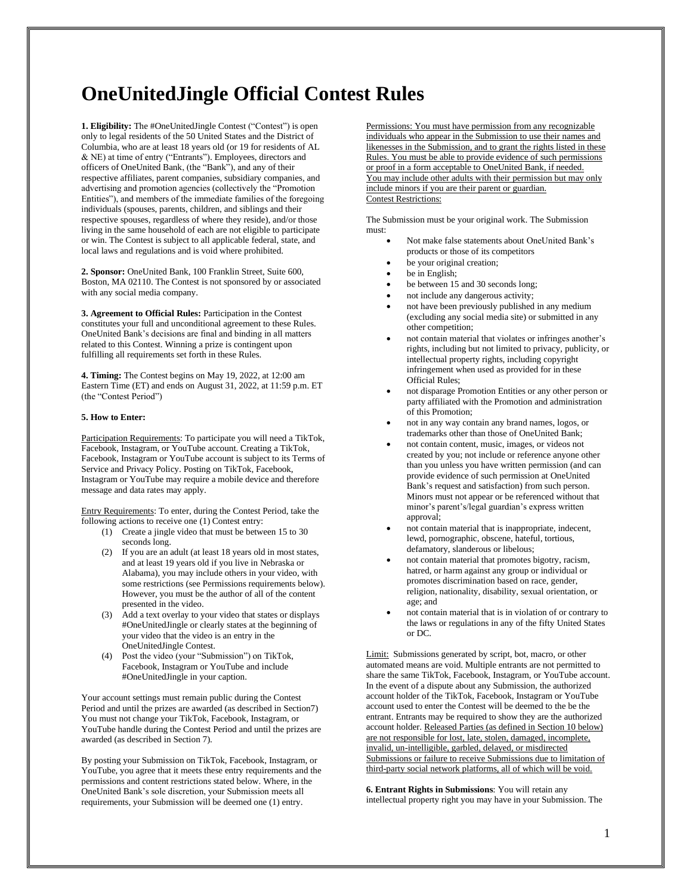## **OneUnitedJingle Official Contest Rules**

**1. Eligibility:** The #OneUnitedJingle Contest ("Contest") is open only to legal residents of the 50 United States and the District of Columbia, who are at least 18 years old (or 19 for residents of AL & NE) at time of entry ("Entrants"). Employees, directors and officers of OneUnited Bank, (the "Bank"), and any of their respective affiliates, parent companies, subsidiary companies, and advertising and promotion agencies (collectively the "Promotion Entities"), and members of the immediate families of the foregoing individuals (spouses, parents, children, and siblings and their respective spouses, regardless of where they reside), and/or those living in the same household of each are not eligible to participate or win. The Contest is subject to all applicable federal, state, and local laws and regulations and is void where prohibited.

**2. Sponsor:** OneUnited Bank, 100 Franklin Street, Suite 600, Boston, MA 02110. The Contest is not sponsored by or associated with any social media company.

**3. Agreement to Official Rules:** Participation in the Contest constitutes your full and unconditional agreement to these Rules. OneUnited Bank's decisions are final and binding in all matters related to this Contest. Winning a prize is contingent upon fulfilling all requirements set forth in these Rules.

**4. Timing:** The Contest begins on May 19, 2022, at 12:00 am Eastern Time (ET) and ends on August 31, 2022, at 11:59 p.m. ET (the "Contest Period")

## **5. How to Enter:**

Participation Requirements: To participate you will need a TikTok, Facebook, Instagram, or YouTube account. Creating a TikTok, Facebook, Instagram or YouTube account is subject to its Terms of Service and Privacy Policy. Posting on TikTok, Facebook, Instagram or YouTube may require a mobile device and therefore message and data rates may apply.

Entry Requirements: To enter, during the Contest Period, take the following actions to receive one (1) Contest entry:

- (1) Create a jingle video that must be between 15 to 30 seconds long.
- (2) If you are an adult (at least 18 years old in most states, and at least 19 years old if you live in Nebraska or Alabama), you may include others in your video, with some restrictions (see Permissions requirements below). However, you must be the author of all of the content presented in the video.
- (3) Add a text overlay to your video that states or displays #OneUnitedJingle or clearly states at the beginning of your video that the video is an entry in the OneUnitedJingle Contest.
- (4) Post the video (your "Submission") on TikTok, Facebook, Instagram or YouTube and include #OneUnitedJingle in your caption.

Your account settings must remain public during the Contest Period and until the prizes are awarded (as described in Section7) You must not change your TikTok, Facebook, Instagram, or YouTube handle during the Contest Period and until the prizes are awarded (as described in Section 7).

By posting your Submission on TikTok, Facebook, Instagram, or YouTube, you agree that it meets these entry requirements and the permissions and content restrictions stated below. Where, in the OneUnited Bank's sole discretion, your Submission meets all requirements, your Submission will be deemed one (1) entry.

Permissions: You must have permission from any recognizable individuals who appear in the Submission to use their names and likenesses in the Submission, and to grant the rights listed in these Rules. You must be able to provide evidence of such permissions or proof in a form acceptable to OneUnited Bank, if needed. You may include other adults with their permission but may only include minors if you are their parent or guardian. Contest Restrictions:

The Submission must be your original work. The Submission must:

- Not make false statements about OneUnited Bank's products or those of its competitors
- be your original creation;
- be in English;
- be between 15 and 30 seconds long;
- not include any dangerous activity;
- not have been previously published in any medium (excluding any social media site) or submitted in any other competition;
- not contain material that violates or infringes another's rights, including but not limited to privacy, publicity, or intellectual property rights, including copyright infringement when used as provided for in these Official Rules;
- not disparage Promotion Entities or any other person or party affiliated with the Promotion and administration of this Promotion;
- not in any way contain any brand names, logos, or trademarks other than those of OneUnited Bank;
- not contain content, music, images, or videos not created by you; not include or reference anyone other than you unless you have written permission (and can provide evidence of such permission at OneUnited Bank's request and satisfaction) from such person. Minors must not appear or be referenced without that minor's parent's/legal guardian's express written approval;
- not contain material that is inappropriate, indecent, lewd, pornographic, obscene, hateful, tortious, defamatory, slanderous or libelous;
- not contain material that promotes bigotry, racism, hatred, or harm against any group or individual or promotes discrimination based on race, gender, religion, nationality, disability, sexual orientation, or age; and
- not contain material that is in violation of or contrary to the laws or regulations in any of the fifty United States or DC.

Limit: Submissions generated by script, bot, macro, or other automated means are void. Multiple entrants are not permitted to share the same TikTok, Facebook, Instagram, or YouTube account. In the event of a dispute about any Submission, the authorized account holder of the TikTok, Facebook, Instagram or YouTube account used to enter the Contest will be deemed to the be the entrant. Entrants may be required to show they are the authorized account holder. Released Parties (as defined in Section 10 below) are not responsible for lost, late, stolen, damaged, incomplete, invalid, un-intelligible, garbled, delayed, or misdirected Submissions or failure to receive Submissions due to limitation of third-party social network platforms, all of which will be void.

**6. Entrant Rights in Submissions**: You will retain any intellectual property right you may have in your Submission. The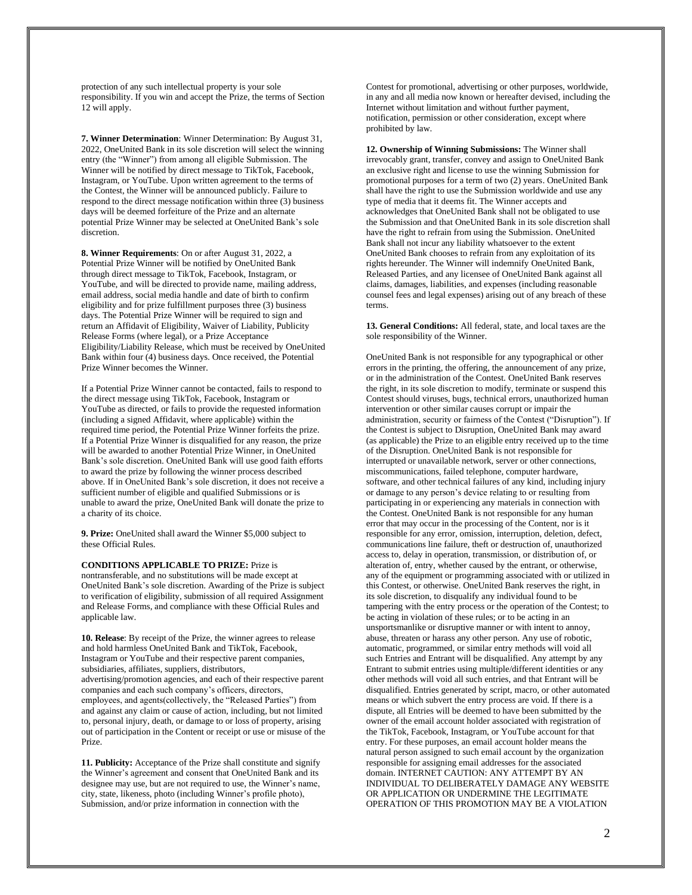protection of any such intellectual property is your sole responsibility. If you win and accept the Prize, the terms of Section 12 will apply.

**7. Winner Determination**: Winner Determination: By August 31, 2022, OneUnited Bank in its sole discretion will select the winning entry (the "Winner") from among all eligible Submission. The Winner will be notified by direct message to TikTok, Facebook, Instagram, or YouTube. Upon written agreement to the terms of the Contest, the Winner will be announced publicly. Failure to respond to the direct message notification within three (3) business days will be deemed forfeiture of the Prize and an alternate potential Prize Winner may be selected at OneUnited Bank's sole discretion.

**8. Winner Requirements**: On or after August 31, 2022, a Potential Prize Winner will be notified by OneUnited Bank through direct message to TikTok, Facebook, Instagram, or YouTube, and will be directed to provide name, mailing address, email address, social media handle and date of birth to confirm eligibility and for prize fulfillment purposes three (3) business days. The Potential Prize Winner will be required to sign and return an Affidavit of Eligibility, Waiver of Liability, Publicity Release Forms (where legal), or a Prize Acceptance Eligibility/Liability Release, which must be received by OneUnited Bank within four (4) business days. Once received, the Potential Prize Winner becomes the Winner.

If a Potential Prize Winner cannot be contacted, fails to respond to the direct message using TikTok, Facebook, Instagram or YouTube as directed, or fails to provide the requested information (including a signed Affidavit, where applicable) within the required time period, the Potential Prize Winner forfeits the prize. If a Potential Prize Winner is disqualified for any reason, the prize will be awarded to another Potential Prize Winner, in OneUnited Bank's sole discretion. OneUnited Bank will use good faith efforts to award the prize by following the winner process described above. If in OneUnited Bank's sole discretion, it does not receive a sufficient number of eligible and qualified Submissions or is unable to award the prize, OneUnited Bank will donate the prize to a charity of its choice.

**9. Prize:** OneUnited shall award the Winner \$5,000 subject to these Official Rules.

**CONDITIONS APPLICABLE TO PRIZE:** Prize is nontransferable, and no substitutions will be made except at OneUnited Bank's sole discretion. Awarding of the Prize is subject to verification of eligibility, submission of all required Assignment and Release Forms, and compliance with these Official Rules and applicable law.

**10. Release**: By receipt of the Prize, the winner agrees to release and hold harmless OneUnited Bank and TikTok, Facebook, Instagram or YouTube and their respective parent companies, subsidiaries, affiliates, suppliers, distributors, advertising/promotion agencies, and each of their respective parent companies and each such company's officers, directors, employees, and agents(collectively, the "Released Parties") from and against any claim or cause of action, including, but not limited to, personal injury, death, or damage to or loss of property, arising out of participation in the Content or receipt or use or misuse of the Prize.

**11. Publicity:** Acceptance of the Prize shall constitute and signify the Winner's agreement and consent that OneUnited Bank and its designee may use, but are not required to use, the Winner's name, city, state, likeness, photo (including Winner's profile photo), Submission, and/or prize information in connection with the

Contest for promotional, advertising or other purposes, worldwide, in any and all media now known or hereafter devised, including the Internet without limitation and without further payment, notification, permission or other consideration, except where prohibited by law.

**12. Ownership of Winning Submissions:** The Winner shall irrevocably grant, transfer, convey and assign to OneUnited Bank an exclusive right and license to use the winning Submission for promotional purposes for a term of two (2) years. OneUnited Bank shall have the right to use the Submission worldwide and use any type of media that it deems fit. The Winner accepts and acknowledges that OneUnited Bank shall not be obligated to use the Submission and that OneUnited Bank in its sole discretion shall have the right to refrain from using the Submission. OneUnited Bank shall not incur any liability whatsoever to the extent OneUnited Bank chooses to refrain from any exploitation of its rights hereunder. The Winner will indemnify OneUnited Bank, Released Parties, and any licensee of OneUnited Bank against all claims, damages, liabilities, and expenses (including reasonable counsel fees and legal expenses) arising out of any breach of these terms.

**13. General Conditions:** All federal, state, and local taxes are the sole responsibility of the Winner.

OneUnited Bank is not responsible for any typographical or other errors in the printing, the offering, the announcement of any prize, or in the administration of the Contest. OneUnited Bank reserves the right, in its sole discretion to modify, terminate or suspend this Contest should viruses, bugs, technical errors, unauthorized human intervention or other similar causes corrupt or impair the administration, security or fairness of the Contest ("Disruption"). If the Contest is subject to Disruption, OneUnited Bank may award (as applicable) the Prize to an eligible entry received up to the time of the Disruption. OneUnited Bank is not responsible for interrupted or unavailable network, server or other connections, miscommunications, failed telephone, computer hardware, software, and other technical failures of any kind, including injury or damage to any person's device relating to or resulting from participating in or experiencing any materials in connection with the Contest. OneUnited Bank is not responsible for any human error that may occur in the processing of the Content, nor is it responsible for any error, omission, interruption, deletion, defect, communications line failure, theft or destruction of, unauthorized access to, delay in operation, transmission, or distribution of, or alteration of, entry, whether caused by the entrant, or otherwise, any of the equipment or programming associated with or utilized in this Contest, or otherwise. OneUnited Bank reserves the right, in its sole discretion, to disqualify any individual found to be tampering with the entry process or the operation of the Contest; to be acting in violation of these rules; or to be acting in an unsportsmanlike or disruptive manner or with intent to annoy, abuse, threaten or harass any other person. Any use of robotic, automatic, programmed, or similar entry methods will void all such Entries and Entrant will be disqualified. Any attempt by any Entrant to submit entries using multiple/different identities or any other methods will void all such entries, and that Entrant will be disqualified. Entries generated by script, macro, or other automated means or which subvert the entry process are void. If there is a dispute, all Entries will be deemed to have been submitted by the owner of the email account holder associated with registration of the TikTok, Facebook, Instagram, or YouTube account for that entry. For these purposes, an email account holder means the natural person assigned to such email account by the organization responsible for assigning email addresses for the associated domain. INTERNET CAUTION: ANY ATTEMPT BY AN INDIVIDUAL TO DELIBERATELY DAMAGE ANY WEBSITE OR APPLICATION OR UNDERMINE THE LEGITIMATE OPERATION OF THIS PROMOTION MAY BE A VIOLATION